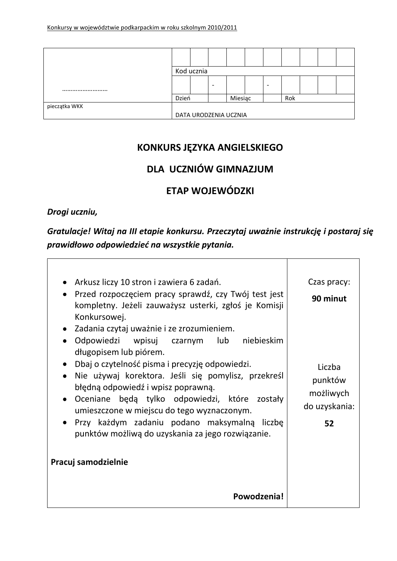|               | Kod ucznia            |       |  |         |  |  |     |  |  |  |
|---------------|-----------------------|-------|--|---------|--|--|-----|--|--|--|
|               |                       |       |  |         |  |  |     |  |  |  |
|               |                       |       |  |         |  |  |     |  |  |  |
|               |                       | Dzień |  | Miesiąc |  |  | Rok |  |  |  |
| pieczątka WKK |                       |       |  |         |  |  |     |  |  |  |
|               | DATA URODZENIA UCZNIA |       |  |         |  |  |     |  |  |  |

# **KONKURS JĘZYKA ANGIELSKIEGO**

## **DLA UCZNIÓW GIMNAZJUM**

## **ETAP WOJEWÓDZKI**

### *Drogi uczniu,*

## *Gratulacje! Witaj na III etapie konkursu. Przeczytaj uważnie instrukcję i postaraj się prawidłowo odpowiedzieć na wszystkie pytania.*

| Arkusz liczy 10 stron i zawiera 6 zadań.<br>Przed rozpoczęciem pracy sprawdź, czy Twój test jest<br>$\bullet$<br>kompletny. Jeżeli zauważysz usterki, zgłoś je Komisji<br>Konkursowej.<br>Zadania czytaj uważnie i ze zrozumieniem.<br>Odpowiedzi wpisuj czarnym<br>lub<br>niebieskim<br>długopisem lub piórem.<br>Dbaj o czytelność pisma i precyzję odpowiedzi.<br>Nie używaj korektora. Jeśli się pomylisz, przekreśl<br>$\bullet$<br>błędną odpowiedź i wpisz poprawną.<br>Oceniane będą tylko odpowiedzi, które<br>zostały<br>$\bullet$<br>umieszczone w miejscu do tego wyznaczonym.<br>Przy każdym zadaniu podano maksymalną liczbę<br>punktów możliwą do uzyskania za jego rozwiązanie.<br>Pracuj samodzielnie | Czas pracy:<br>90 minut<br>Liczba<br>punktów<br>możliwych<br>do uzyskania:<br>52 |
|------------------------------------------------------------------------------------------------------------------------------------------------------------------------------------------------------------------------------------------------------------------------------------------------------------------------------------------------------------------------------------------------------------------------------------------------------------------------------------------------------------------------------------------------------------------------------------------------------------------------------------------------------------------------------------------------------------------------|----------------------------------------------------------------------------------|
| Powodzenia!                                                                                                                                                                                                                                                                                                                                                                                                                                                                                                                                                                                                                                                                                                            |                                                                                  |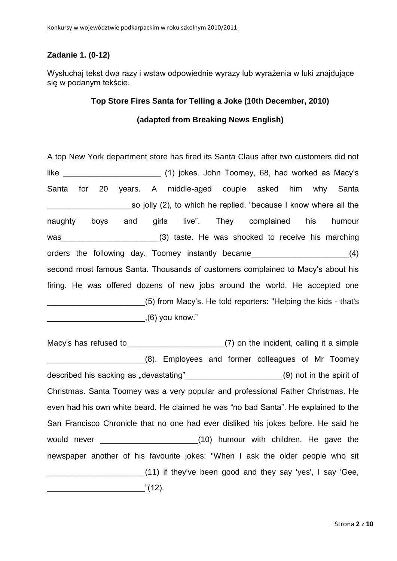#### **Zadanie 1. (0-12)**

Wysłuchaj tekst dwa razy i wstaw odpowiednie wyrazy lub wyrażenia w luki znajdujące się w podanym tekście.

#### **Top Store Fires Santa for Telling a Joke (10th December, 2010)**

#### **(adapted from Breaking News English)**

A top New York department store has fired its Santa Claus after two customers did not like \_\_\_\_\_\_\_\_\_\_\_\_\_\_\_\_\_\_\_\_\_\_ (1) jokes. John Toomey, 68, had worked as Macy"s Santa for 20 years. A middle-aged couple asked him why Santa so jolly (2), to which he replied, "because I know where all the naughty boys and girls live". They complained his humour was was the contract was shocked to receive his marching orders the following day. Toomey instantly became  $(4)$ second most famous Santa. Thousands of customers complained to Macy"s about his firing. He was offered dozens of new jobs around the world. He accepted one \_\_\_\_\_\_\_\_\_\_\_\_\_\_\_\_\_\_\_\_\_\_(5) from Macy"s. He told reporters: "Helping the kids - that's  $(6)$  you know."

Macy's has refused to  $(7)$  on the incident, calling it a simple \_\_\_\_\_\_\_\_\_\_\_\_\_\_\_\_\_\_\_\_\_\_(8). Employees and former colleagues of Mr Toomey described his sacking as "devastating" example the spirit of the spirit of Christmas. Santa Toomey was a very popular and professional Father Christmas. He even had his own white beard. He claimed he was "no bad Santa". He explained to the San Francisco Chronicle that no one had ever disliked his jokes before. He said he would never \_\_\_\_\_\_\_\_\_\_\_\_\_\_\_\_\_\_\_\_\_\_(10) humour with children. He gave the newspaper another of his favourite jokes: "When I ask the older people who sit \_\_\_\_\_\_\_\_\_\_\_\_\_\_\_\_\_\_\_\_\_\_(11) if they've been good and they say 'yes', I say 'Gee,  $\overline{\phantom{a}12}.$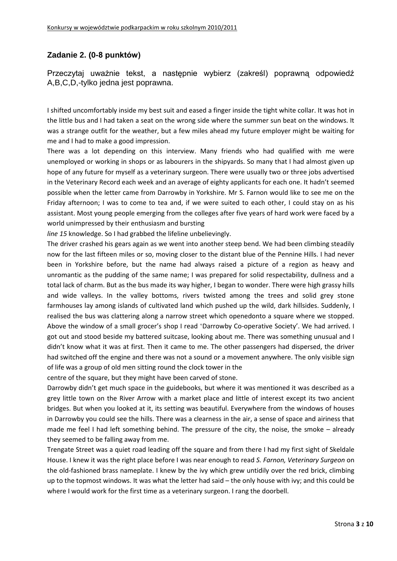### **Zadanie 2. (0-8 punktów)**

Przeczytaj uważnie tekst, a następnie wybierz (zakreśl) poprawną odpowiedź A,B,C,D,-tylko jedna jest poprawna.

I shifted uncomfortably inside my best suit and eased a finger inside the tight white collar. It was hot in the little bus and I had taken a seat on the wrong side where the summer sun beat on the windows. It was a strange outfit for the weather, but a few miles ahead my future employer might be waiting for me and I had to make a good impression.

There was a lot depending on this interview. Many friends who had qualified with me were unemployed or working in shops or as labourers in the shipyards. So many that I had almost given up hope of any future for myself as a veterinary surgeon. There were usually two or three jobs advertised in the Veterinary Record each week and an average of eighty applicants for each one. It hadn't seemed possible when the letter came from Darrowby in Yorkshire. Mr S. Farnon would like to see me on the Friday afternoon; I was to come to tea and, if we were suited to each other, I could stay on as his assistant. Most young people emerging from the colleges after five years of hard work were faced by a world unimpressed by their enthusiasm and bursting

*line 15* knowledge. So I had grabbed the lifeline unbelievingly.

The driver crashed his gears again as we went into another steep bend. We had been climbing steadily now for the last fifteen miles or so, moving closer to the distant blue of the Pennine Hills. I had never been in Yorkshire before, but the name had always raised a picture of a region as heavy and unromantic as the pudding of the same name; I was prepared for solid respectability, dullness and a total lack of charm. But as the bus made its way higher, I began to wonder. There were high grassy hills and wide valleys. In the valley bottoms, rivers twisted among the trees and solid grey stone farmhouses lay among islands of cultivated land which pushed up the wild, dark hillsides. Suddenly, I realised the bus was clattering along a narrow street which openedonto a square where we stopped. Above the window of a small grocer's shop I read 'Darrowby Co-operative Society'. We had arrived. I got out and stood beside my battered suitcase, looking about me. There was something unusual and I didn't know what it was at first. Then it came to me. The other passengers had dispersed, the driver had switched off the engine and there was not a sound or a movement anywhere. The only visible sign of life was a group of old men sitting round the clock tower in the

centre of the square, but they might have been carved of stone.

Darrowby didn't get much space in the guidebooks, but where it was mentioned it was described as a grey little town on the River Arrow with a market place and little of interest except its two ancient bridges. But when you looked at it, its setting was beautiful. Everywhere from the windows of houses in Darrowby you could see the hills. There was a clearness in the air, a sense of space and airiness that made me feel I had left something behind. The pressure of the city, the noise, the smoke – already they seemed to be falling away from me.

Trengate Street was a quiet road leading off the square and from there I had my first sight of Skeldale House. I knew it was the right place before I was near enough to read *S. Farnon, Veterinary Surgeon* on the old-fashioned brass nameplate. I knew by the ivy which grew untidily over the red brick, climbing up to the topmost windows. It was what the letter had said – the only house with ivy; and this could be where I would work for the first time as a veterinary surgeon. I rang the doorbell.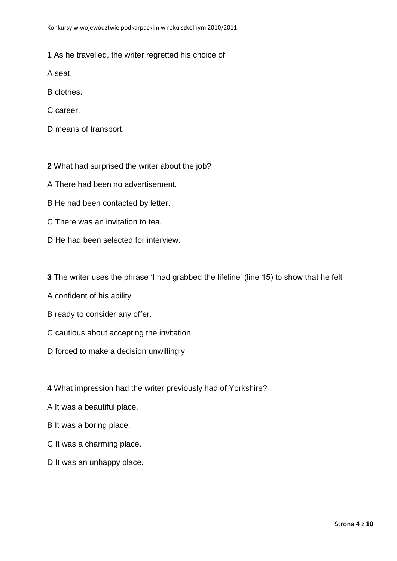**1** As he travelled, the writer regretted his choice of

A seat.

B clothes.

C career.

D means of transport.

**2** What had surprised the writer about the job?

A There had been no advertisement.

B He had been contacted by letter.

C There was an invitation to tea.

D He had been selected for interview.

**3** The writer uses the phrase 'I had grabbed the lifeline' (line 15) to show that he felt

A confident of his ability.

B ready to consider any offer.

C cautious about accepting the invitation.

D forced to make a decision unwillingly.

**4** What impression had the writer previously had of Yorkshire?

A It was a beautiful place.

B It was a boring place.

C It was a charming place.

D It was an unhappy place.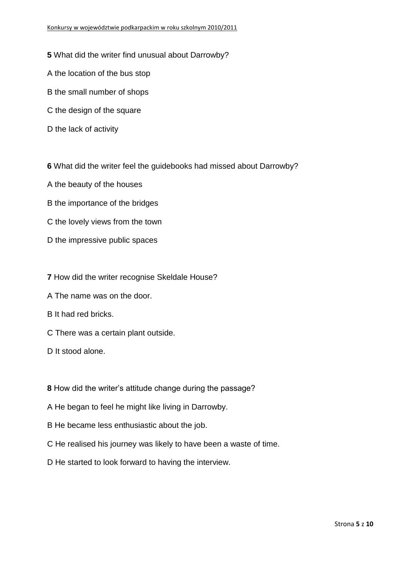**5** What did the writer find unusual about Darrowby?

A the location of the bus stop

- B the small number of shops
- C the design of the square
- D the lack of activity

**6** What did the writer feel the guidebooks had missed about Darrowby?

A the beauty of the houses

- B the importance of the bridges
- C the lovely views from the town
- D the impressive public spaces

**7** How did the writer recognise Skeldale House?

- A The name was on the door.
- B It had red bricks.
- C There was a certain plant outside.

D It stood alone.

**8** How did the writer's attitude change during the passage?

- A He began to feel he might like living in Darrowby.
- B He became less enthusiastic about the job.
- C He realised his journey was likely to have been a waste of time.
- D He started to look forward to having the interview.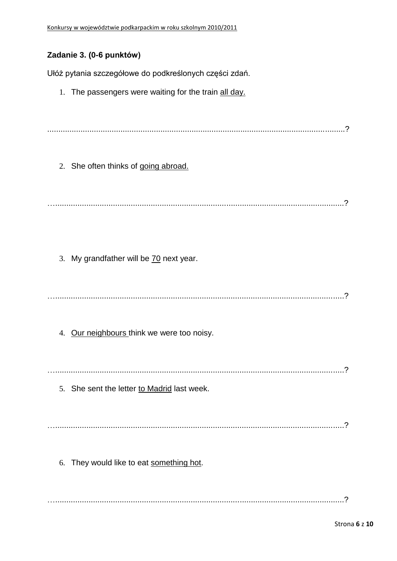### Zadanie 3. (0-6 punktów)

Ułóż pytania szczegółowe do podkreślonych części zdań.

1. The passengers were waiting for the train all day.

2. She often thinks of going abroad.

3. My grandfather will be 70 next year.

4. Our neighbours think we were too noisy.

5. She sent the letter to Madrid last week.

6. They would like to eat something hot.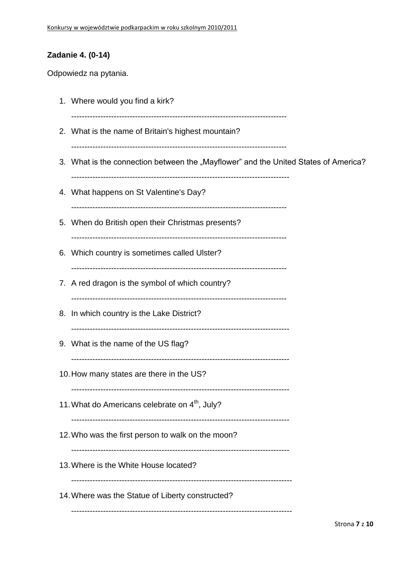## **Zadanie 4. (0-14)**

Odpowiedz na pytania.

| 1. Where would you find a kirk?                                                     |
|-------------------------------------------------------------------------------------|
| 2. What is the name of Britain's highest mountain?                                  |
| 3. What is the connection between the "Mayflower" and the United States of America? |
| 4. What happens on St Valentine's Day?                                              |
| 5. When do British open their Christmas presents?                                   |
| 6. Which country is sometimes called Ulster?                                        |
| 7. A red dragon is the symbol of which country?                                     |
| 8. In which country is the Lake District?                                           |
| 9. What is the name of the US flag?                                                 |
| 10. How many states are there in the US?                                            |
| 11. What do Americans celebrate on 4 <sup>th</sup> , July?                          |
| 12. Who was the first person to walk on the moon?                                   |
| 13. Where is the White House located?                                               |
| 14. Where was the Statue of Liberty constructed?                                    |
|                                                                                     |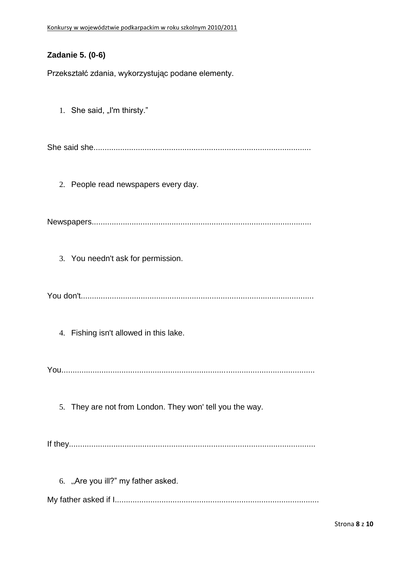### **Zadanie 5. (0-6)**

Przekształć zdania, wykorzystując podane elementy.

1. She said, "I'm thirsty." She said she.................................................................................................. 2. People read newspapers every day. Newspapers................................................................................................... 3. You needn't ask for permission. You don't......................................................................................................... 4. Fishing isn't allowed in this lake. You.................................................................................................................. 5. They are not from London. They won' tell you the way. If they............................................................................................................... 6. "Are you ill?" my father asked.

My father asked if I............................................................................................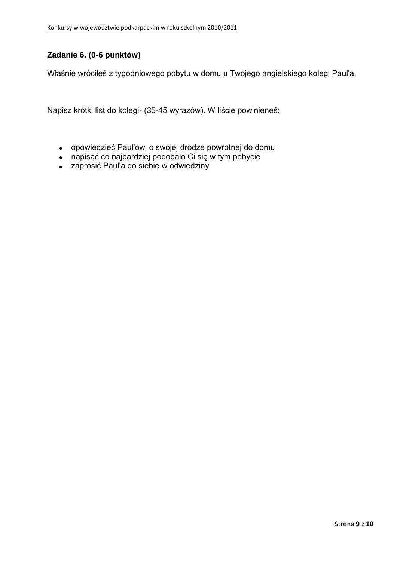### **Zadanie 6. (0-6 punktów)**

Właśnie wróciłeś z tygodniowego pobytu w domu u Twojego angielskiego kolegi Paul'a.

Napisz krótki list do kolegi- (35-45 wyrazów). W liście powinieneś:

- opowiedzieć Paul'owi o swojej drodze powrotnej do domu
- napisać co najbardziej podobało Ci się w tym pobycie
- zaprosić Paul'a do siebie w odwiedziny